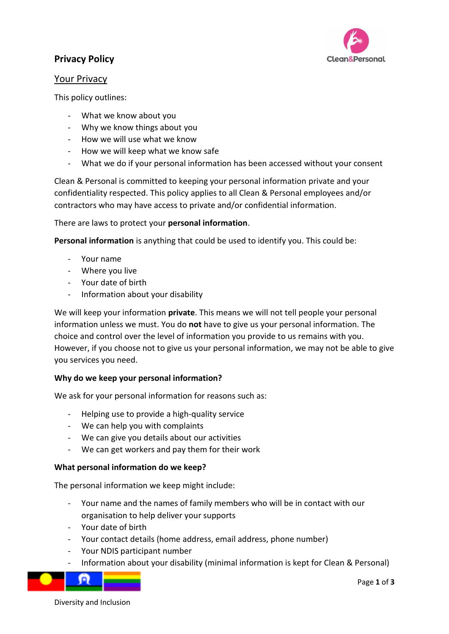

# **Privacy Policy**

## Your Privacy

This policy outlines:

- What we know about you
- Why we know things about you
- How we will use what we know
- How we will keep what we know safe
- What we do if your personal information has been accessed without your consent

Clean & Personal is committed to keeping your personal information private and your confidentiality respected. This policy applies to all Clean & Personal employees and/or contractors who may have access to private and/or confidential information.

There are laws to protect your **personal information**.

**Personal information** is anything that could be used to identify you. This could be:

- Your name
- Where you live
- Your date of birth
- Information about your disability

We will keep your information **private**. This means we will not tell people your personal information unless we must. You do **not** have to give us your personal information. The choice and control over the level of information you provide to us remains with you. However, if you choose not to give us your personal information, we may not be able to give you services you need.

#### **Why do we keep your personal information?**

We ask for your personal information for reasons such as:

- Helping use to provide a high-quality service
- We can help you with complaints
- We can give you details about our activities
- We can get workers and pay them for their work

#### **What personal information do we keep?**

The personal information we keep might include:

- Your name and the names of family members who will be in contact with our organisation to help deliver your supports
- Your date of birth
- Your contact details (home address, email address, phone number)
- Your NDIS participant number
- Information about your disability (minimal information is kept for Clean & Personal)



Page **1** of **3**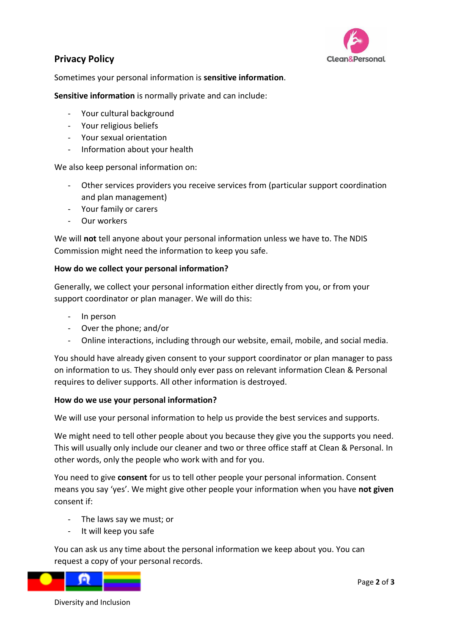

# **Privacy Policy**

Sometimes your personal information is **sensitive information**.

**Sensitive information** is normally private and can include:

- Your cultural background
- Your religious beliefs
- Your sexual orientation
- Information about your health

We also keep personal information on:

- Other services providers you receive services from (particular support coordination and plan management)
- Your family or carers
- Our workers

We will **not** tell anyone about your personal information unless we have to. The NDIS Commission might need the information to keep you safe.

#### **How do we collect your personal information?**

Generally, we collect your personal information either directly from you, or from your support coordinator or plan manager. We will do this:

- In person
- Over the phone; and/or
- Online interactions, including through our website, email, mobile, and social media.

You should have already given consent to your support coordinator or plan manager to pass on information to us. They should only ever pass on relevant information Clean & Personal requires to deliver supports. All other information is destroyed.

#### **How do we use your personal information?**

We will use your personal information to help us provide the best services and supports.

We might need to tell other people about you because they give you the supports you need. This will usually only include our cleaner and two or three office staff at Clean & Personal. In other words, only the people who work with and for you.

You need to give **consent** for us to tell other people your personal information. Consent means you say 'yes'. We might give other people your information when you have **not given**  consent if:

- The laws say we must; or
- It will keep you safe

You can ask us any time about the personal information we keep about you. You can request a copy of your personal records.



Diversity and Inclusion